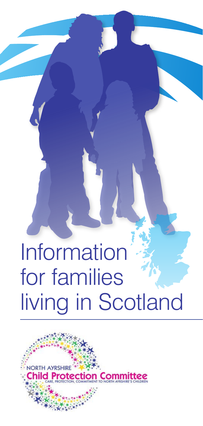# Information for families living in Scotland

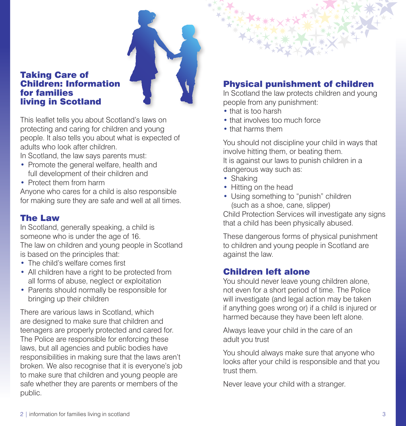

### Taking Care of Children: Information for families living in Scotland

This leaflet tells you about Scotland's laws on protecting and caring for children and young people. It also tells you about what is expected of adults who look after children.

In Scotland, the law says parents must:

- Promote the general welfare, health and full development of their children and
- Protect them from harm

Anyone who cares for a child is also responsible for making sure they are safe and well at all times.

## The Law

In Scotland, generally speaking, a child is someone who is under the age of 16. The law on children and young people in Scotland is based on the principles that:

- The child's welfare comes first
- All children have a right to be protected from all forms of abuse, neglect or exploitation
- Parents should normally be responsible for bringing up their children

There are various laws in Scotland, which are designed to make sure that children and teenagers are properly protected and cared for. The Police are responsible for enforcing these laws, but all agencies and public bodies have responsibilities in making sure that the laws aren't broken. We also recognise that it is everyone's job to make sure that children and young people are safe whether they are parents or members of the public.

# Physical punishment of children

In Scotland the law protects children and young people from any punishment:

- that is too harsh
- that involves too much force
- that harms them

You should not discipline your child in ways that involve hitting them, or beating them. It is against our laws to punish children in a dangerous way such as:

- Shaking
- Hitting on the head
- Using something to "punish" children (such as a shoe, cane, slipper)

Child Protection Services will investigate any signs that a child has been physically abused.

These dangerous forms of physical punishment to children and young people in Scotland are against the law.

## Children left alone

You should never leave young children alone, not even for a short period of time. The Police will investigate (and legal action may be taken if anything goes wrong or) if a child is injured or harmed because they have been left alone.

Always leave your child in the care of an adult you trust

You should always make sure that anyone who looks after your child is responsible and that you trust them.

Never leave your child with a stranger.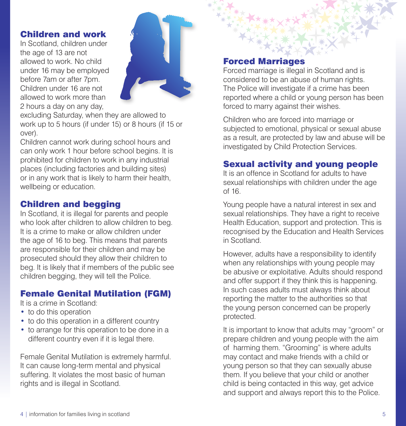#### Children and work

In Scotland, children under the age of 13 are not allowed to work. No child under 16 may be employed before 7am or after 7pm. Children under 16 are not allowed to work more than 2 hours a day on any day,



excluding Saturday, when they are allowed to work up to 5 hours (if under 15) or 8 hours (if 15 or over).

Children cannot work during school hours and can only work 1 hour before school begins. It is prohibited for children to work in any industrial places (including factories and building sites) or in any work that is likely to harm their health, wellbeing or education.

## Children and begging

In Scotland, it is illegal for parents and people who look after children to allow children to beg. It is a crime to make or allow children under the age of 16 to beg. This means that parents are responsible for their children and may be prosecuted should they allow their children to beg. It is likely that if members of the public see children begging, they will tell the Police.

## Female Genital Mutilation (FGM)

It is a crime in Scotland:

- to do this operation
- to do this operation in a different country
- to arrange for this operation to be done in a different country even if it is legal there.

Female Genital Mutilation is extremely harmful. It can cause long-term mental and physical suffering. It violates the most basic of human rights and is illegal in Scotland.

#### Forced Marriages

Forced marriage is illegal in Scotland and is considered to be an abuse of human rights. The Police will investigate if a crime has been reported where a child or young person has been forced to marry against their wishes.

Children who are forced into marriage or subjected to emotional, physical or sexual abuse as a result, are protected by law and abuse will be investigated by Child Protection Services.

## Sexual activity and young people

It is an offence in Scotland for adults to have sexual relationships with children under the age of 16.

Young people have a natural interest in sex and sexual relationships. They have a right to receive Health Education, support and protection. This is recognised by the Education and Health Services in Scotland.

However, adults have a responsibility to identify when any relationships with young people may be abusive or exploitative. Adults should respond and offer support if they think this is happening. In such cases adults must always think about reporting the matter to the authorities so that the young person concerned can be properly protected.

It is important to know that adults may "groom" or prepare children and young people with the aim of harming them. "Grooming" is where adults may contact and make friends with a child or young person so that they can sexually abuse them. If you believe that your child or another child is being contacted in this way, get advice and support and always report this to the Police.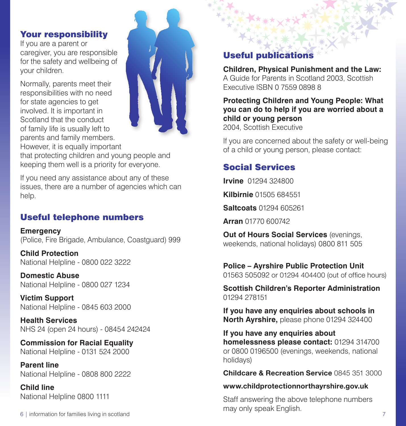### Your responsibility

If you are a parent or caregiver, you are responsible for the safety and wellbeing of your children.

Normally, parents meet their responsibilities with no need for state agencies to get involved. It is important in Scotland that the conduct of family life is usually left to parents and family members. However, it is equally important



that protecting children and young people and keeping them well is a priority for everyone.

If you need any assistance about any of these issues, there are a number of agencies which can help.

# Useful telephone numbers

**Emergency**  (Police, Fire Brigade, Ambulance, Coastguard) 999

**Child Protection** National Helpline - 0800 022 3222

**Domestic Abuse**  National Helpline - 0800 027 1234

**Victim Support**  National Helpline - 0845 603 2000

**Health Services** NHS 24 (open 24 hours) - 08454 242424

**Commission for Racial Equality** National Helpline - 0131 524 2000

**Parent line** National Helpline - 0808 800 2222

**Child line** National Helpline 0800 1111

6 | information for families living in scotland 7

# Useful publications

**Children, Physical Punishment and the Law:**  A Guide for Parents in Scotland 2003, Scottish Executive ISBN 0 7559 0898 8

**Protecting Children and Young People: What you can do to help if you are worried about a child or young person** 2004, Scottish Executive

If you are concerned about the safety or well-being of a child or young person, please contact:

# Social Services

**Irvine** 01294 324800

**Kilbirnie** 01505 684551

**Saltcoats** 01294 605261

**Arran** 01770 600742

**Out of Hours Social Services** (evenings, weekends, national holidays) 0800 811 505

**Police – Ayrshire Public Protection Unit** 01563 505092 or 01294 404400 (out of office hours)

**Scottish Children's Reporter Administration** 01294 278151

**If you have any enquiries about schools in North Ayrshire,** please phone 01294 324400

**If you have any enquiries about homelessness please contact:** 01294 314700 or 0800 0196500 (evenings, weekends, national holidays)

**Childcare & Recreation Service** 0845 351 3000

**www.childprotectionnorthayrshire.gov.uk**

Staff answering the above telephone numbers may only speak English.